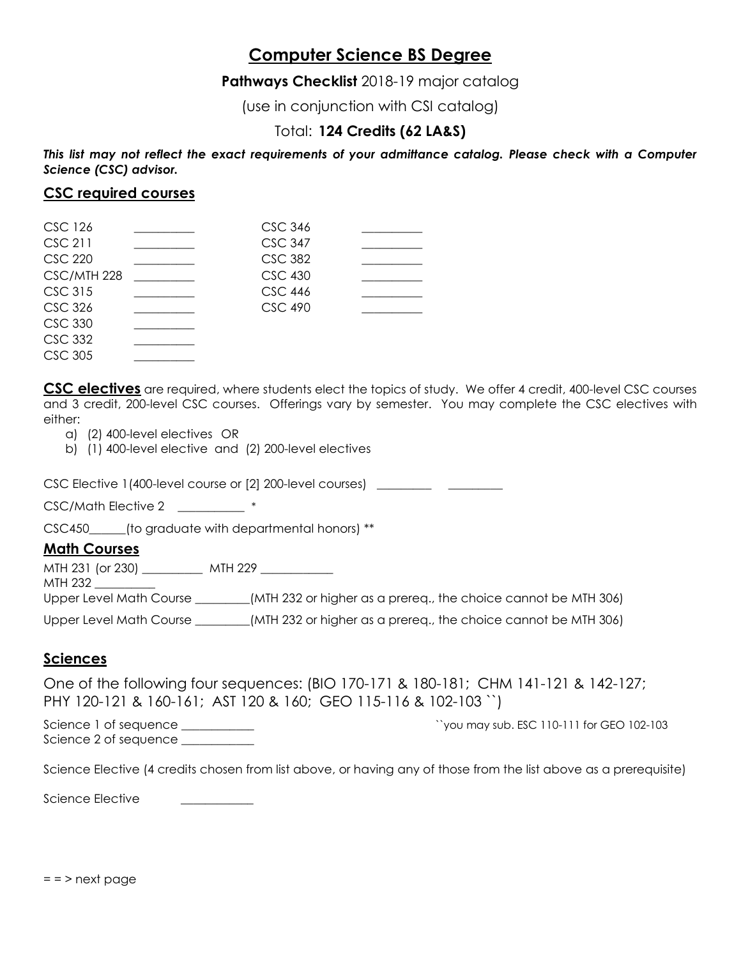# **Computer Science BS Degree**

**Pathways Checklist** 2018-19 major catalog

(use in conjunction with CSI catalog)

## Total: **124 Credits (62 LA&S)**

*This list may not reflect the exact requirements of your admittance catalog. Please check with a Computer Science (CSC) advisor.*

#### **CSC required courses**

| <b>CSC 126</b> | <b>CSC 346</b> |  |
|----------------|----------------|--|
| CSC 211        | <b>CSC 347</b> |  |
| <b>CSC 220</b> | <b>CSC 382</b> |  |
| CSC/MTH 228    | <b>CSC 430</b> |  |
| <b>CSC 315</b> | <b>CSC 446</b> |  |
| <b>CSC 326</b> | <b>CSC 490</b> |  |
| <b>CSC 330</b> |                |  |
| <b>CSC 332</b> |                |  |
| <b>CSC 305</b> |                |  |

**CSC electives** are required, where students elect the topics of study. We offer 4 credit, 400-level CSC courses and 3 credit, 200-level CSC courses. Offerings vary by semester. You may complete the CSC electives with either:

- a) (2) 400-level electives OR
- b) (1) 400-level elective and (2) 200-level electives

CSC Elective 1(400-level course or [2] 200-level courses) \_\_\_\_\_\_\_\_\_ \_\_\_\_\_\_\_\_\_\_\_\_

CSC/Math Elective 2 \_\_\_\_\_\_\_\_ \*

CSC450 (to graduate with departmental honors) \*\*

#### **Math Courses**

MTH 231 (or 230) \_\_\_\_\_\_\_\_\_\_ MTH 229 \_\_\_\_\_\_\_\_\_\_\_\_ MTH 232 \_\_\_\_\_\_\_\_\_\_ Upper Level Math Course \_\_\_\_\_\_\_\_\_(MTH 232 or higher as a prereq., the choice cannot be MTH 306) Upper Level Math Course \_\_\_\_\_\_\_\_(MTH 232 or higher as a prereq., the choice cannot be MTH 306)

#### **Sciences**

One of the following four sequences: (BIO 170-171 & 180-181; CHM 141-121 & 142-127; PHY 120-121 & 160-161; AST 120 & 160; GEO 115-116 & 102-103 ``)

Science 1 of sequence \_\_\_\_\_\_\_\_\_\_\_\_ ``you may sub. ESC 110-111 for GEO 102-103 Science 2 of sequence

Science Elective (4 credits chosen from list above, or having any of those from the list above as a prerequisite)

Science Elective